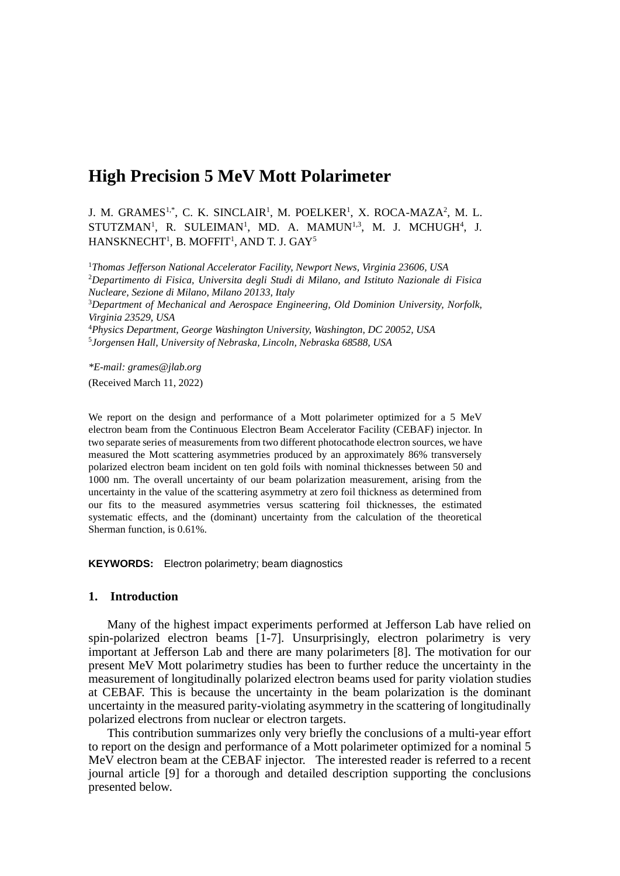# **High Precision 5 MeV Mott Polarimeter**

J. M. GRAMES<sup>1,\*</sup>, C. K. SINCLAIR<sup>1</sup>, M. POELKER<sup>1</sup>, X. ROCA-MAZA<sup>2</sup>, M. L. STUTZMAN<sup>1</sup>, R. SULEIMAN<sup>1</sup>, MD. A. MAMUN<sup>1,3</sup>, M. J. MCHUGH<sup>4</sup>, J.  $\rm HANSKNECHT^1\rm{, \ B. \ MOFFIT^1\rm{, \ AND \ T. \ J. \ GAY^5}$ 

*Thomas Jefferson National Accelerator Facility, Newport News, Virginia 23606, USA Departimento di Fisica, Universita degli Studi di Milano, and Istituto Nazionale di Fisica Nucleare, Sezione di Milano, Milano 20133, Italy Department of Mechanical and Aerospace Engineering, Old Dominion University, Norfolk, Virginia 23529, USA Physics Department, George Washington University, Washington, DC 20052, USA Jorgensen Hall, University of Nebraska, Lincoln, Nebraska 68588, USA*

*\*E-mail: grames@jlab.org* (Received March 11, 2022)

We report on the design and performance of a Mott polarimeter optimized for a 5 MeV electron beam from the Continuous Electron Beam Accelerator Facility (CEBAF) injector. In two separate series of measurements from two different photocathode electron sources, we have measured the Mott scattering asymmetries produced by an approximately 86% transversely polarized electron beam incident on ten gold foils with nominal thicknesses between 50 and 1000 nm. The overall uncertainty of our beam polarization measurement, arising from the uncertainty in the value of the scattering asymmetry at zero foil thickness as determined from our fits to the measured asymmetries versus scattering foil thicknesses, the estimated systematic effects, and the (dominant) uncertainty from the calculation of the theoretical Sherman function, is 0.61%.

**KEYWORDS:** Electron polarimetry; beam diagnostics

## **1. Introduction**

Many of the highest impact experiments performed at Jefferson Lab have relied on spin-polarized electron beams [1-7]. Unsurprisingly, electron polarimetry is very important at Jefferson Lab and there are many polarimeters [8]. The motivation for our present MeV Mott polarimetry studies has been to further reduce the uncertainty in the measurement of longitudinally polarized electron beams used for parity violation studies at CEBAF. This is because the uncertainty in the beam polarization is the dominant uncertainty in the measured parity-violating asymmetry in the scattering of longitudinally polarized electrons from nuclear or electron targets.

This contribution summarizes only very briefly the conclusions of a multi-year effort to report on the design and performance of a Mott polarimeter optimized for a nominal 5 MeV electron beam at the CEBAF injector. The interested reader is referred to a recent journal article [9] for a thorough and detailed description supporting the conclusions presented below.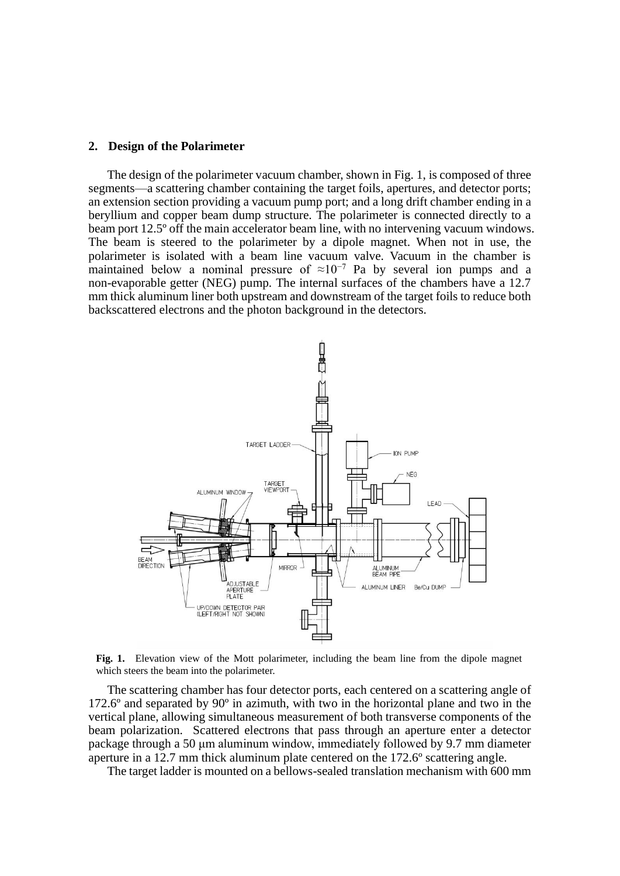## **2. Design of the Polarimeter**

The design of the polarimeter vacuum chamber, shown in Fig. 1, is composed of three segments—a scattering chamber containing the target foils, apertures, and detector ports; an extension section providing a vacuum pump port; and a long drift chamber ending in a beryllium and copper beam dump structure. The polarimeter is connected directly to a beam port 12.5º off the main accelerator beam line, with no intervening vacuum windows. The beam is steered to the polarimeter by a dipole magnet. When not in use, the polarimeter is isolated with a beam line vacuum valve. Vacuum in the chamber is maintained below a nominal pressure of  $\approx 10^{-7}$  Pa by several ion pumps and a non-evaporable getter (NEG) pump. The internal surfaces of the chambers have a 12.7 mm thick aluminum liner both upstream and downstream of the target foils to reduce both backscattered electrons and the photon background in the detectors.



**Fig. 1.** Elevation view of the Mott polarimeter, including the beam line from the dipole magnet which steers the beam into the polarimeter.

The scattering chamber has four detector ports, each centered on a scattering angle of 172.6º and separated by 90º in azimuth, with two in the horizontal plane and two in the vertical plane, allowing simultaneous measurement of both transverse components of the beam polarization. Scattered electrons that pass through an aperture enter a detector package through a 50 μm aluminum window, immediately followed by 9.7 mm diameter aperture in a 12.7 mm thick aluminum plate centered on the 172.6º scattering angle.

The target ladder is mounted on a bellows-sealed translation mechanism with 600 mm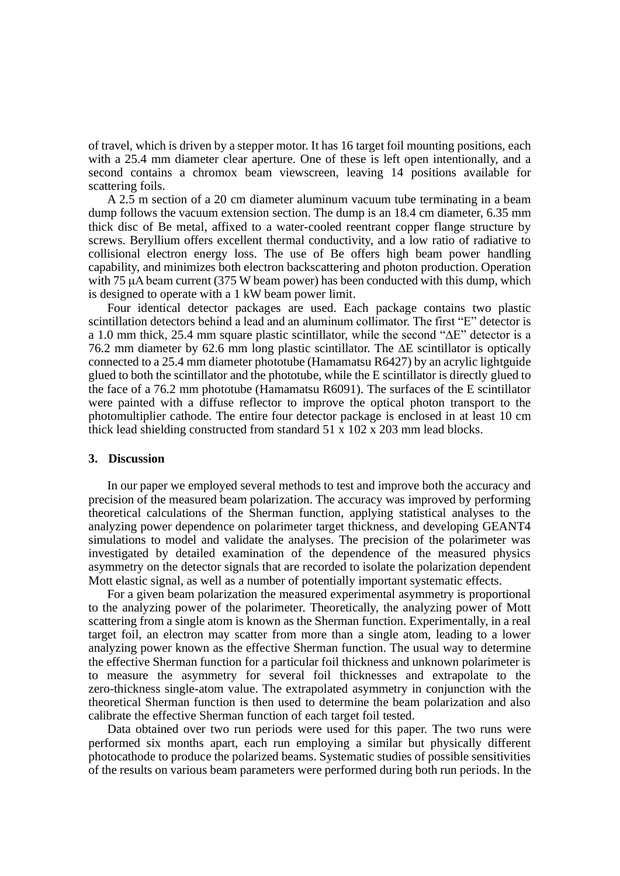of travel, which is driven by a stepper motor. It has 16 target foil mounting positions, each with a 25.4 mm diameter clear aperture. One of these is left open intentionally, and a second contains a chromox beam viewscreen, leaving 14 positions available for scattering foils.

A 2.5 m section of a 20 cm diameter aluminum vacuum tube terminating in a beam dump follows the vacuum extension section. The dump is an 18.4 cm diameter, 6.35 mm thick disc of Be metal, affixed to a water-cooled reentrant copper flange structure by screws. Beryllium offers excellent thermal conductivity, and a low ratio of radiative to collisional electron energy loss. The use of Be offers high beam power handling capability, and minimizes both electron backscattering and photon production. Operation with 75 μA beam current (375 W beam power) has been conducted with this dump, which is designed to operate with a 1 kW beam power limit.

Four identical detector packages are used. Each package contains two plastic scintillation detectors behind a lead and an aluminum collimator. The first "E" detector is a 1.0 mm thick, 25.4 mm square plastic scintillator, while the second " $\Delta E$ " detector is a 76.2 mm diameter by 62.6 mm long plastic scintillator. The  $\Delta E$  scintillator is optically connected to a 25.4 mm diameter phototube (Hamamatsu R6427) by an acrylic lightguide glued to both the scintillator and the phototube, while the E scintillator is directly glued to the face of a 76.2 mm phototube (Hamamatsu R6091). The surfaces of the E scintillator were painted with a diffuse reflector to improve the optical photon transport to the photomultiplier cathode. The entire four detector package is enclosed in at least 10 cm thick lead shielding constructed from standard 51 x 102 x 203 mm lead blocks.

#### **3. Discussion**

In our paper we employed several methods to test and improve both the accuracy and precision of the measured beam polarization. The accuracy was improved by performing theoretical calculations of the Sherman function, applying statistical analyses to the analyzing power dependence on polarimeter target thickness, and developing GEANT4 simulations to model and validate the analyses. The precision of the polarimeter was investigated by detailed examination of the dependence of the measured physics asymmetry on the detector signals that are recorded to isolate the polarization dependent Mott elastic signal, as well as a number of potentially important systematic effects.

For a given beam polarization the measured experimental asymmetry is proportional to the analyzing power of the polarimeter. Theoretically, the analyzing power of Mott scattering from a single atom is known as the Sherman function. Experimentally, in a real target foil, an electron may scatter from more than a single atom, leading to a lower analyzing power known as the effective Sherman function. The usual way to determine the effective Sherman function for a particular foil thickness and unknown polarimeter is to measure the asymmetry for several foil thicknesses and extrapolate to the zero-thickness single-atom value. The extrapolated asymmetry in conjunction with the theoretical Sherman function is then used to determine the beam polarization and also calibrate the effective Sherman function of each target foil tested.

Data obtained over two run periods were used for this paper. The two runs were performed six months apart, each run employing a similar but physically different photocathode to produce the polarized beams. Systematic studies of possible sensitivities of the results on various beam parameters were performed during both run periods. In the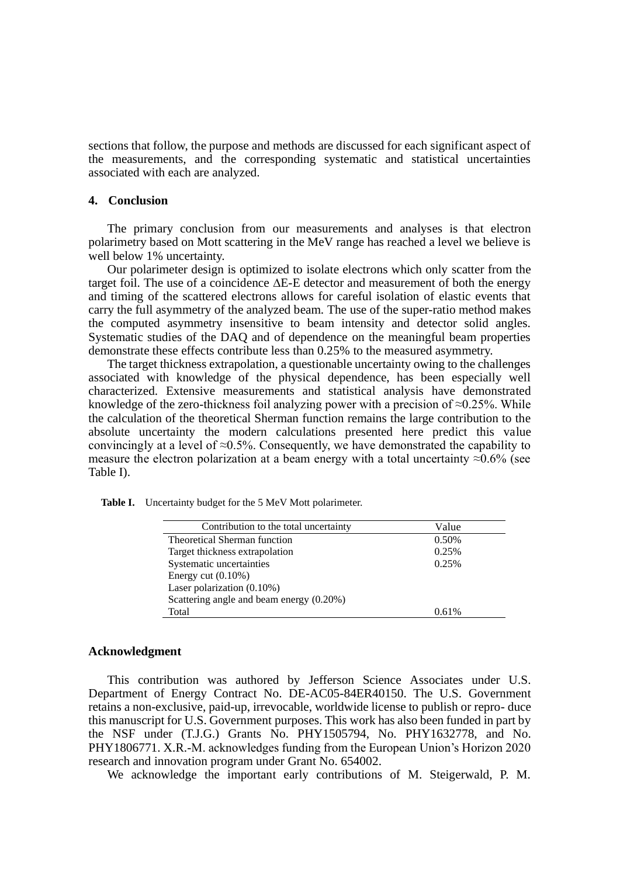sections that follow, the purpose and methods are discussed for each significant aspect of the measurements, and the corresponding systematic and statistical uncertainties associated with each are analyzed.

# **4. Conclusion**

The primary conclusion from our measurements and analyses is that electron polarimetry based on Mott scattering in the MeV range has reached a level we believe is well below 1% uncertainty.

Our polarimeter design is optimized to isolate electrons which only scatter from the target foil. The use of a coincidence  $\Delta E$ -E detector and measurement of both the energy and timing of the scattered electrons allows for careful isolation of elastic events that carry the full asymmetry of the analyzed beam. The use of the super-ratio method makes the computed asymmetry insensitive to beam intensity and detector solid angles. Systematic studies of the DAQ and of dependence on the meaningful beam properties demonstrate these effects contribute less than 0.25% to the measured asymmetry.

The target thickness extrapolation, a questionable uncertainty owing to the challenges associated with knowledge of the physical dependence, has been especially well characterized. Extensive measurements and statistical analysis have demonstrated knowledge of the zero-thickness foil analyzing power with a precision of  $\approx 0.25\%$ . While the calculation of the theoretical Sherman function remains the large contribution to the absolute uncertainty the modern calculations presented here predict this value convincingly at a level of  $\approx 0.5\%$ . Consequently, we have demonstrated the capability to measure the electron polarization at a beam energy with a total uncertainty  $\approx 0.6\%$  (see Table I).

**Table I.** Uncertainty budget for the 5 MeV Mott polarimeter.

| Contribution to the total uncertainty    | Value |
|------------------------------------------|-------|
| Theoretical Sherman function             | 0.50% |
| Target thickness extrapolation           | 0.25% |
| Systematic uncertainties                 | 0.25% |
| Energy cut $(0.10\%)$                    |       |
| Laser polarization $(0.10\%)$            |       |
| Scattering angle and beam energy (0.20%) |       |
| Total                                    | 0.61% |
|                                          |       |

### **Acknowledgment**

This contribution was authored by Jefferson Science Associates under U.S. Department of Energy Contract No. DE-AC05-84ER40150. The U.S. Government retains a non-exclusive, paid-up, irrevocable, worldwide license to publish or repro- duce this manuscript for U.S. Government purposes. This work has also been funded in part by the NSF under (T.J.G.) Grants No. PHY1505794, No. PHY1632778, and No. PHY1806771. X.R.-M. acknowledges funding from the European Union's Horizon 2020 research and innovation program under Grant No. 654002.

We acknowledge the important early contributions of M. Steigerwald, P. M.